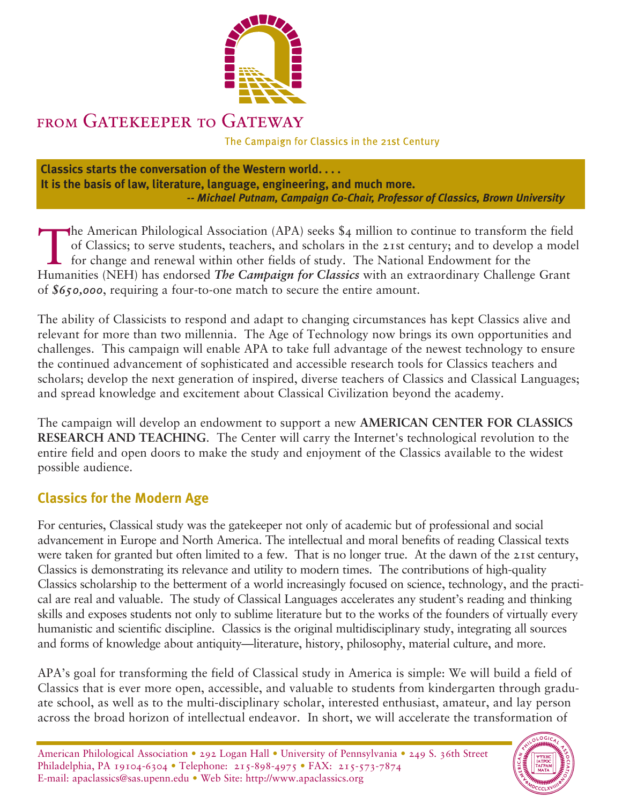

## FROM GATEKEEPER TO GATEWAY

The Campaign for Classics in the 21st Century

**Classics starts the conversation of the Western world. . . . It is the basis of law, literature, language, engineering, and much more.** *-- Michael Putnam, Campaign Co-Chair, Professor of Classics, Brown University*

The American Philological Association (APA) seeks \$4 million to continue to transform the field<br>of Classics; to serve students, teachers, and scholars in the 21st century; and to develop a mode<br>for change and renewal withi of Classics; to serve students, teachers, and scholars in the 21st century; and to develop a model for change and renewal within other fields of study. The National Endowment for the Humanities (NEH) has endorsed *The Campaign for Classics* with an extraordinary Challenge Grant of *\$650,000*, requiring a four-to-one match to secure the entire amount.

The ability of Classicists to respond and adapt to changing circumstances has kept Classics alive and relevant for more than two millennia. The Age of Technology now brings its own opportunities and challenges. This campaign will enable APA to take full advantage of the newest technology to ensure the continued advancement of sophisticated and accessible research tools for Classics teachers and scholars; develop the next generation of inspired, diverse teachers of Classics and Classical Languages; and spread knowledge and excitement about Classical Civilization beyond the academy.

The campaign will develop an endowment to support a new **AMERICAN CENTER FOR CLASSICS RESEARCH AND TEACHING**. The Center will carry the Internet's technological revolution to the entire field and open doors to make the study and enjoyment of the Classics available to the widest possible audience.

## **Classics for the Modern Age**

For centuries, Classical study was the gatekeeper not only of academic but of professional and social advancement in Europe and North America. The intellectual and moral benefits of reading Classical texts were taken for granted but often limited to a few. That is no longer true. At the dawn of the 21st century, Classics is demonstrating its relevance and utility to modern times. The contributions of high-quality Classics scholarship to the betterment of a world increasingly focused on science, technology, and the practical are real and valuable. The study of Classical Languages accelerates any student's reading and thinking skills and exposes students not only to sublime literature but to the works of the founders of virtually every humanistic and scientific discipline. Classics is the original multidisciplinary study, integrating all sources and forms of knowledge about antiquity—literature, history, philosophy, material culture, and more.

APA's goal for transforming the field of Classical study in America is simple: We will build a field of Classics that is ever more open, accessible, and valuable to students from kindergarten through graduate school, as well as to the multi-disciplinary scholar, interested enthusiast, amateur, and lay person across the broad horizon of intellectual endeavor. In short, we will accelerate the transformation of

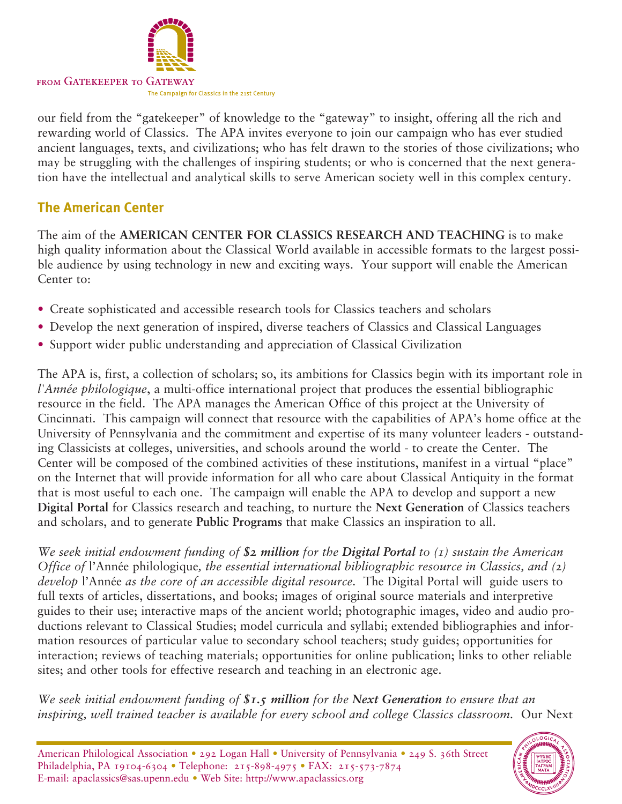

our field from the "gatekeeper" of knowledge to the "gateway" to insight, offering all the rich and rewarding world of Classics. The APA invites everyone to join our campaign who has ever studied ancient languages, texts, and civilizations; who has felt drawn to the stories of those civilizations; who may be struggling with the challenges of inspiring students; or who is concerned that the next generation have the intellectual and analytical skills to serve American society well in this complex century.

## **The American Center**

The aim of the **AMERICAN CENTER FOR CLASSICS RESEARCH AND TEACHING** is to make high quality information about the Classical World available in accessible formats to the largest possible audience by using technology in new and exciting ways. Your support will enable the American Center to:

- Create sophisticated and accessible research tools for Classics teachers and scholars
- Develop the next generation of inspired, diverse teachers of Classics and Classical Languages
- Support wider public understanding and appreciation of Classical Civilization

The APA is, first, a collection of scholars; so, its ambitions for Classics begin with its important role in *l'Année philologique*, a multi-office international project that produces the essential bibliographic resource in the field. The APA manages the American Office of this project at the University of Cincinnati. This campaign will connect that resource with the capabilities of APA's home office at the University of Pennsylvania and the commitment and expertise of its many volunteer leaders - outstanding Classicists at colleges, universities, and schools around the world - to create the Center. The Center will be composed of the combined activities of these institutions, manifest in a virtual "place" on the Internet that will provide information for all who care about Classical Antiquity in the format that is most useful to each one. The campaign will enable the APA to develop and support a new **Digital Portal** for Classics research and teaching, to nurture the **Next Generation** of Classics teachers and scholars, and to generate **Public Programs** that make Classics an inspiration to all.

*We seek initial endowment funding of \$2 million for the Digital Portal to (1) sustain the American Office of* l'Année philologique*, the essential international bibliographic resource in Classics, and (2) develop* l'Année *as the core of an accessible digital resource.* The Digital Portal will guide users to full texts of articles, dissertations, and books; images of original source materials and interpretive guides to their use; interactive maps of the ancient world; photographic images, video and audio productions relevant to Classical Studies; model curricula and syllabi; extended bibliographies and information resources of particular value to secondary school teachers; study guides; opportunities for interaction; reviews of teaching materials; opportunities for online publication; links to other reliable sites; and other tools for effective research and teaching in an electronic age.

*We seek initial endowment funding of \$1.5 million for the Next Generation to ensure that an inspiring, well trained teacher is available for every school and college Classics classroom.* Our Next